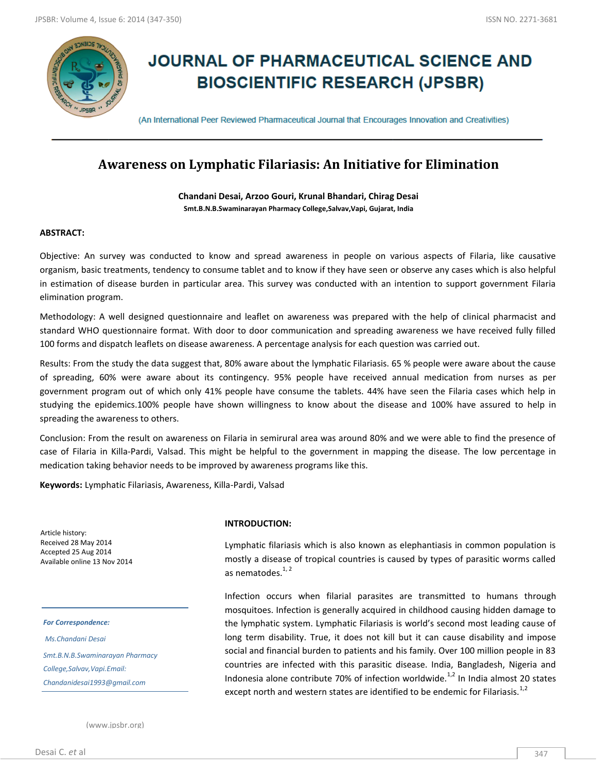

# **JOURNAL OF PHARMACEUTICAL SCIENCE AND BIOSCIENTIFIC RESEARCH (JPSBR)**

(An International Peer Reviewed Pharmaceutical Journal that Encourages Innovation and Creativities)

# **Awareness on Lymphatic Filariasis: An Initiative for Elimination**

**Chandani Desai, Arzoo Gouri, Krunal Bhandari, Chirag Desai Smt.B.N.B.Swaminarayan Pharmacy College,Salvav,Vapi, Gujarat, India**

# **ABSTRACT:**

Objective: An survey was conducted to know and spread awareness in people on various aspects of Filaria, like causative organism, basic treatments, tendency to consume tablet and to know if they have seen or observe any cases which is also helpful in estimation of disease burden in particular area. This survey was conducted with an intention to support government Filaria elimination program.

Methodology: A well designed questionnaire and leaflet on awareness was prepared with the help of clinical pharmacist and standard WHO questionnaire format. With door to door communication and spreading awareness we have received fully filled 100 forms and dispatch leaflets on disease awareness. A percentage analysis for each question was carried out.

Results: From the study the data suggest that, 80% aware about the lymphatic Filariasis. 65 % people were aware about the cause of spreading, 60% were aware about its contingency. 95% people have received annual medication from nurses as per government program out of which only 41% people have consume the tablets. 44% have seen the Filaria cases which help in studying the epidemics.100% people have shown willingness to know about the disease and 100% have assured to help in spreading the awareness to others.

Conclusion: From the result on awareness on Filaria in semirural area was around 80% and we were able to find the presence of case of Filaria in Killa-Pardi, Valsad. This might be helpful to the government in mapping the disease. The low percentage in medication taking behavior needs to be improved by awareness programs like this.

**Keywords:** Lymphatic Filariasis, Awareness, Killa-Pardi, Valsad

Article history: Received 28 May 2014 Accepted 25 Aug 2014 Available online 13 Nov 2014

*For Correspondence:*

*Ms.Chandani Desai Smt.B.N.B.Swaminarayan Pharmacy College,Salvav,Vapi.Email: Chandanidesai1993@gmail.com*

## **INTRODUCTION:**

Lymphatic filariasis which is also known as elephantiasis in common population is mostly a disease of tropical countries is caused by types of parasitic worms called as nematodes. $1, 2$ 

Infection occurs when filarial parasites are transmitted to humans through mosquitoes. Infection is generally acquired in childhood causing hidden damage to the lymphatic system. Lymphatic Filariasis is world's second most leading cause of long term disability. True, it does not kill but it can cause disability and impose social and financial burden to patients and his family. Over 100 million people in 83 countries are infected with this parasitic disease. India, Bangladesh, Nigeria and Indonesia alone contribute 70% of infection worldwide. $^{1,2}$  In India almost 20 states except north and western states are identified to be endemic for Filariasis.<sup>1,2</sup>

(www.jpsbr.org)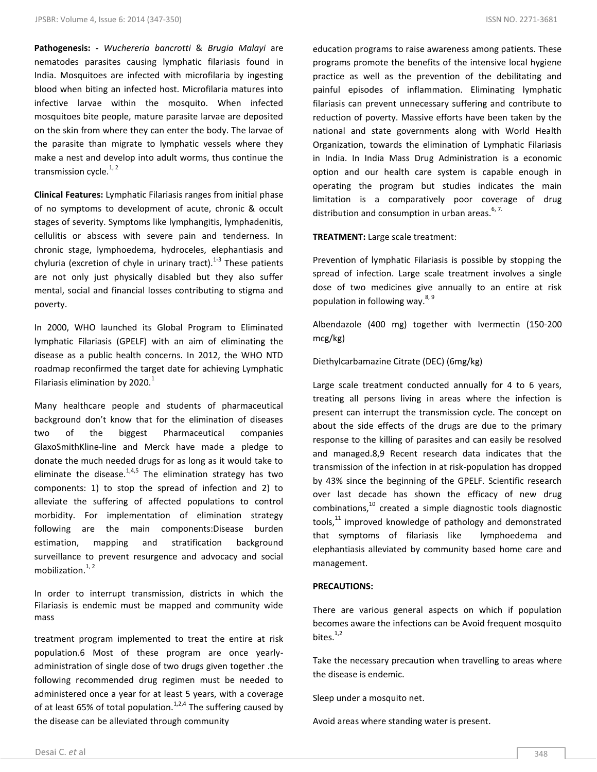**Pathogenesis: -** *Wuchereria bancrotti* & *Brugia Malayi* are nematodes parasites causing lymphatic filariasis found in India. Mosquitoes are infected with microfilaria by ingesting blood when biting an infected host. Microfilaria matures into infective larvae within the mosquito. When infected mosquitoes bite people, mature parasite larvae are deposited on the skin from where they can enter the body. The larvae of the parasite than migrate to lymphatic vessels where they make a nest and develop into adult worms, thus continue the transmission cycle. $1, 2$ 

**Clinical Features:** Lymphatic Filariasis ranges from initial phase of no symptoms to development of acute, chronic & occult stages of severity. Symptoms like lymphangitis, lymphadenitis, cellulitis or abscess with severe pain and tenderness. In chronic stage, lymphoedema, hydroceles, elephantiasis and chyluria (excretion of chyle in urinary tract). $1-3$  These patients are not only just physically disabled but they also suffer mental, social and financial losses contributing to stigma and poverty.

In 2000, WHO launched its Global Program to Eliminated lymphatic Filariasis (GPELF) with an aim of eliminating the disease as a public health concerns. In 2012, the WHO NTD roadmap reconfirmed the target date for achieving Lymphatic Filariasis elimination by 2020. $1$ 

Many healthcare people and students of pharmaceutical background don't know that for the elimination of diseases two of the biggest Pharmaceutical companies GlaxoSmithKline-line and Merck have made a pledge to donate the much needed drugs for as long as it would take to eliminate the disease.<sup>1,4,5</sup> The elimination strategy has two components: 1) to stop the spread of infection and 2) to alleviate the suffering of affected populations to control morbidity. For implementation of elimination strategy following are the main components:Disease burden estimation, mapping and stratification background surveillance to prevent resurgence and advocacy and social mobilization. $1, 2$ 

In order to interrupt transmission, districts in which the Filariasis is endemic must be mapped and community wide mass

treatment program implemented to treat the entire at risk population.6 Most of these program are once yearlyadministration of single dose of two drugs given together .the following recommended drug regimen must be needed to administered once a year for at least 5 years, with a coverage of at least 65% of total population.<sup>1,2,4</sup> The suffering caused by the disease can be alleviated through community

education programs to raise awareness among patients. These programs promote the benefits of the intensive local hygiene practice as well as the prevention of the debilitating and painful episodes of inflammation. Eliminating lymphatic filariasis can prevent unnecessary suffering and contribute to reduction of poverty. Massive efforts have been taken by the national and state governments along with World Health Organization, towards the elimination of Lymphatic Filariasis in India. In India Mass Drug Administration is a economic option and our health care system is capable enough in operating the program but studies indicates the main limitation is a comparatively poor coverage of drug distribution and consumption in urban areas.  $6, 7$ .

**TREATMENT:** Large scale treatment:

Prevention of lymphatic Filariasis is possible by stopping the spread of infection. Large scale treatment involves a single dose of two medicines give annually to an entire at risk population in following way.  $8, 9$ 

Albendazole (400 mg) together with Ivermectin (150-200 mcg/kg)

Diethylcarbamazine Citrate (DEC) (6mg/kg)

Large scale treatment conducted annually for 4 to 6 years, treating all persons living in areas where the infection is present can interrupt the transmission cycle. The concept on about the side effects of the drugs are due to the primary response to the killing of parasites and can easily be resolved and managed.8,9 Recent research data indicates that the transmission of the infection in at risk-population has dropped by 43% since the beginning of the GPELF. Scientific research over last decade has shown the efficacy of new drug  $combinations<sup>10</sup>$  created a simple diagnostic tools diagnostic tools, $11$  improved knowledge of pathology and demonstrated that symptoms of filariasis like lymphoedema and elephantiasis alleviated by community based home care and management.

## **PRECAUTIONS:**

 $\overline{\phantom{a}}$ 

There are various general aspects on which if population becomes aware the infections can be Avoid frequent mosquito bites. $1,2$ 

Take the necessary precaution when travelling to areas where the disease is endemic.

Sleep under a mosquito net.

Avoid areas where standing water is present.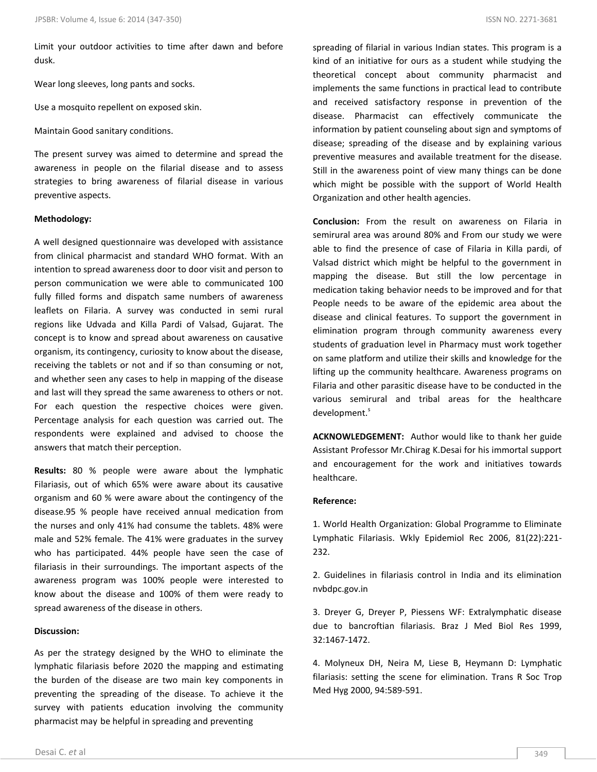Limit your outdoor activities to time after dawn and before dusk.

Wear long sleeves, long pants and socks.

Use a mosquito repellent on exposed skin.

Maintain Good sanitary conditions.

The present survey was aimed to determine and spread the awareness in people on the filarial disease and to assess strategies to bring awareness of filarial disease in various preventive aspects.

#### **Methodology:**

A well designed questionnaire was developed with assistance from clinical pharmacist and standard WHO format. With an intention to spread awareness door to door visit and person to person communication we were able to communicated 100 fully filled forms and dispatch same numbers of awareness leaflets on Filaria. A survey was conducted in semi rural regions like Udvada and Killa Pardi of Valsad, Gujarat. The concept is to know and spread about awareness on causative organism, its contingency, curiosity to know about the disease, receiving the tablets or not and if so than consuming or not, and whether seen any cases to help in mapping of the disease and last will they spread the same awareness to others or not. For each question the respective choices were given. Percentage analysis for each question was carried out. The respondents were explained and advised to choose the answers that match their perception.

**Results:** 80 % people were aware about the lymphatic Filariasis, out of which 65% were aware about its causative organism and 60 % were aware about the contingency of the disease.95 % people have received annual medication from the nurses and only 41% had consume the tablets. 48% were male and 52% female. The 41% were graduates in the survey who has participated. 44% people have seen the case of filariasis in their surroundings. The important aspects of the awareness program was 100% people were interested to know about the disease and 100% of them were ready to spread awareness of the disease in others.

#### **Discussion:**

As per the strategy designed by the WHO to eliminate the lymphatic filariasis before 2020 the mapping and estimating the burden of the disease are two main key components in preventing the spreading of the disease. To achieve it the survey with patients education involving the community pharmacist may be helpful in spreading and preventing

spreading of filarial in various Indian states. This program is a kind of an initiative for ours as a student while studying the theoretical concept about community pharmacist and implements the same functions in practical lead to contribute and received satisfactory response in prevention of the disease. Pharmacist can effectively communicate the information by patient counseling about sign and symptoms of disease; spreading of the disease and by explaining various preventive measures and available treatment for the disease. Still in the awareness point of view many things can be done which might be possible with the support of World Health Organization and other health agencies.

**Conclusion:** From the result on awareness on Filaria in semirural area was around 80% and From our study we were able to find the presence of case of Filaria in Killa pardi, of Valsad district which might be helpful to the government in mapping the disease. But still the low percentage in medication taking behavior needs to be improved and for that People needs to be aware of the epidemic area about the disease and clinical features. To support the government in elimination program through community awareness every students of graduation level in Pharmacy must work together on same platform and utilize their skills and knowledge for the lifting up the community healthcare. Awareness programs on Filaria and other parasitic disease have to be conducted in the various semirural and tribal areas for the healthcare development.<sup>s</sup>

**ACKNOWLEDGEMENT:** Author would like to thank her guide Assistant Professor Mr.Chirag K.Desai for his immortal support and encouragement for the work and initiatives towards healthcare.

#### **Reference:**

1. World Health Organization: Global Programme to Eliminate Lymphatic Filariasis. Wkly Epidemiol Rec 2006, 81(22):221- 232.

2. Guidelines in filariasis control in India and its elimination nvbdpc.gov.in

3. Dreyer G, Dreyer P, Piessens WF: Extralymphatic disease due to bancroftian filariasis. Braz J Med Biol Res 1999, 32:1467-1472.

4. Molyneux DH, Neira M, Liese B, Heymann D: Lymphatic filariasis: setting the scene for elimination. Trans R Soc Trop Med Hyg 2000, 94:589-591.